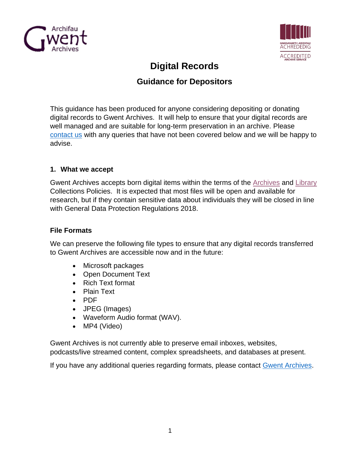



# **Digital Records**

## **Guidance for Depositors**

This guidance has been produced for anyone considering depositing or donating digital records to Gwent Archives. It will help to ensure that your digital records are well managed and are suitable for long-term preservation in an archive. Please [contact us](mailto:enquiries@gwentarchives.gov.uk) with any queries that have not been covered below and we will be happy to advise.

#### **1. What we accept**

Gwent [Archives](https://www.gwentarchives.gov.uk/media/i5jbqkje/archivecollections.pdf) accepts born digital items within the terms of the **Archives** and [Library](https://www.gwentarchives.gov.uk/media/mvxgdf5z/librarycollections.pdf) Collections Policies. It is expected that most files will be open and available for research, but if they contain sensitive data about individuals they will be closed in line with General Data Protection Regulations 2018.

#### **File Formats**

We can preserve the following file types to ensure that any digital records transferred to Gwent Archives are accessible now and in the future:

- Microsoft packages
- Open Document Text
- Rich Text format
- Plain Text
- PDF
- JPEG (Images)
- Waveform Audio format (WAV).
- MP4 (Video)

Gwent Archives is not currently able to preserve email inboxes, websites, podcasts/live streamed content, complex spreadsheets, and databases at present.

If you have any additional queries regarding formats, please contact [Gwent Archives.](mailto:enquiries@gwentarchives.gov.uk)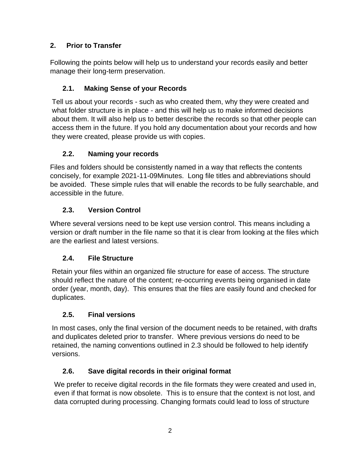### **2. Prior to Transfer**

Following the points below will help us to understand your records easily and better manage their long-term preservation.

## **2.1. Making Sense of your Records**

Tell us about your records - such as who created them, why they were created and what folder structure is in place - and this will help us to make informed decisions about them. It will also help us to better describe the records so that other people can access them in the future. If you hold any documentation about your records and how they were created, please provide us with copies.

#### **2.2. Naming your records**

Files and folders should be consistently named in a way that reflects the contents concisely, for example 2021-11-09Minutes. Long file titles and abbreviations should be avoided. These simple rules that will enable the records to be fully searchable, and accessible in the future.

#### **2.3. Version Control**

Where several versions need to be kept use version control. This means including a version or draft number in the file name so that it is clear from looking at the files which are the earliest and latest versions.

#### **2.4. File Structure**

Retain your files within an organized file structure for ease of access. The structure should reflect the nature of the content; re-occurring events being organised in date order (year, month, day). This ensures that the files are easily found and checked for duplicates.

#### **2.5. Final versions**

In most cases, only the final version of the document needs to be retained, with drafts and duplicates deleted prior to transfer. Where previous versions do need to be retained, the naming conventions outlined in 2.3 should be followed to help identify versions.

## **2.6. Save digital records in their original format**

We prefer to receive digital records in the file formats they were created and used in, even if that format is now obsolete. This is to ensure that the context is not lost, and data corrupted during processing. Changing formats could lead to loss of structure